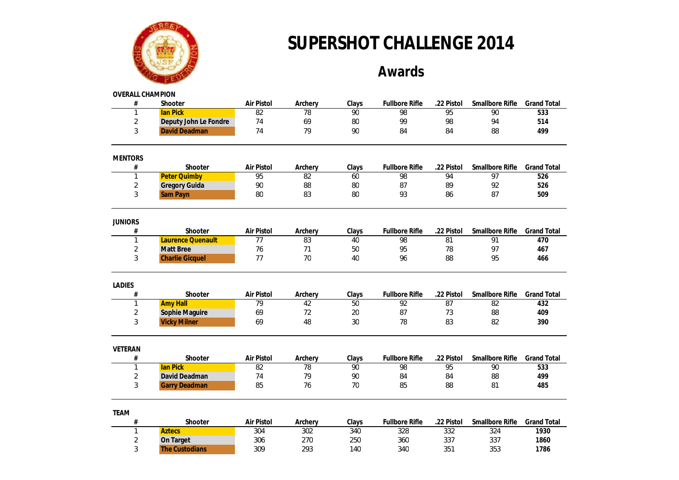

#### **Awards**

| <b>OVERALL CHAMPION</b> |                          |            |                 |       |                       |                 |                 |                    |
|-------------------------|--------------------------|------------|-----------------|-------|-----------------------|-----------------|-----------------|--------------------|
| $\#$                    | Shooter                  | Air Pistol | Archery         | Clays | <b>Fullbore Rifle</b> | .22 Pistol      | Smallbore Rifle | <b>Grand Total</b> |
| 1                       | <b>lan Pick</b>          | 82         | 78              | 90    | 98                    | 95              | 90              | 533                |
| $\overline{2}$          | Deputy John Le Fondre    | 74         | 69              | 80    | 99                    | 98              | 94              | 514                |
| 3                       | <b>David Deadman</b>     | 74         | 79              | 90    | 84                    | 84              | 88              | 499                |
| <b>MENTORS</b>          |                          |            |                 |       |                       |                 |                 |                    |
| $\#$                    | Shooter                  | Air Pistol | Archery         | Clays | <b>Fullbore Rifle</b> | .22 Pistol      | Smallbore Rifle | <b>Grand Total</b> |
| 1                       | <b>Peter Quimby</b>      | 95         | 82              | 60    | 98                    | 94              | 97              | 526                |
| $\overline{2}$          | Gregory Guida            | 90         | 88              | 80    | 87                    | 89              | 92              | 526                |
| 3                       | <b>Sam Payn</b>          | 80         | 83              | 80    | 93                    | 86              | 87              | 509                |
| <b>JUNIORS</b>          |                          |            |                 |       |                       |                 |                 |                    |
| #                       | Shooter                  | Air Pistol | Archery         | Clays | <b>Fullbore Rifle</b> | .22 Pistol      | Smallbore Rifle | <b>Grand Total</b> |
| 1                       | <b>Laurence Quenault</b> | 77         | 83              | 40    | 98                    | 81              | 91              | 470                |
| $\overline{2}$          | <b>Matt Bree</b>         | 76         | 71              | 50    | 95                    | 78              | 97              | 467                |
| 3                       | <b>Charlie Gicquel</b>   | 77         | 70              | 40    | 96                    | 88              | 95              | 466                |
| <b>LADIES</b>           |                          |            |                 |       |                       |                 |                 |                    |
| #                       | Shooter                  | Air Pistol | Archery         | Clays | <b>Fullbore Rifle</b> | .22 Pistol      | Smallbore Rifle | <b>Grand Total</b> |
| $\mathbf{1}$            | <b>Amy Hall</b>          | 79         | $\overline{42}$ | 50    | $\overline{92}$       | $\overline{87}$ | 82              | 432                |
| $\sqrt{2}$              | Sophie Maguire           | 69         | 72              | 20    | 87                    | 73              | 88              | 409                |
| 3                       | <b>Vicky Milner</b>      | 69         | 48              | 30    | 78                    | 83              | 82              | 390                |
| VETERAN                 |                          |            |                 |       |                       |                 |                 |                    |
| $\#$                    | Shooter                  | Air Pistol | Archery         | Clays | <b>Fullbore Rifle</b> | .22 Pistol      | Smallbore Rifle | <b>Grand Total</b> |
| 1                       | <b>lan Pick</b>          | 82         | 78              | 90    | 98                    | 95              | 90              | 533                |
| $\overline{2}$          | David Deadman            | 74         | 79              | 90    | 84                    | 84              | 88              | 499                |
| 3                       | <b>Garry Deadman</b>     | 85         | 76              | 70    | 85                    | 88              | 81              | 485                |
| <b>TEAM</b>             |                          |            |                 |       |                       |                 |                 |                    |
| #                       | Shooter                  | Air Pistol | Archery         | Clays | <b>Fullbore Rifle</b> | .22 Pistol      | Smallbore Rifle | <b>Grand Total</b> |
| 1                       | <b>Aztecs</b>            | 304        | 302             | 340   | 328                   | 332             | 324             | 1930               |
| $\overline{2}$          | On Target                | 306        | 270             | 250   | 360                   | 337             | 337             | 1860               |
| 3                       | <b>The Custodians</b>    | 309        | 293             | 140   | 340                   | 351             | 353             | 1786               |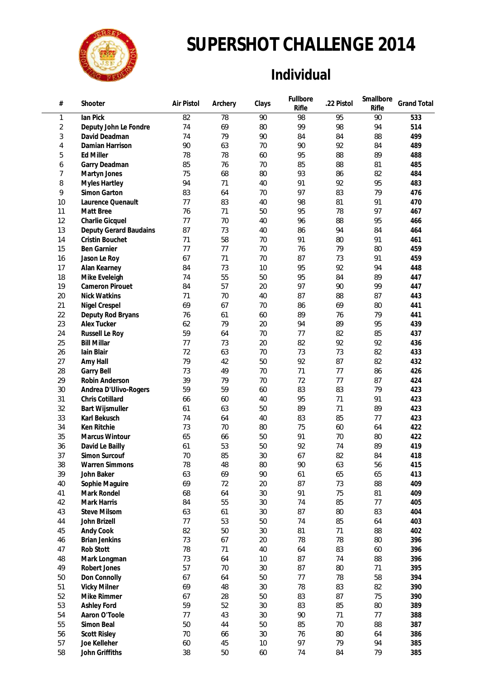

### **Individual**

| #              | Shooter                              | Air Pistol | Archery | Clays | Fullbore<br>Rifle | .22 Pistol | Smallbore<br>Rifle | <b>Grand Total</b> |
|----------------|--------------------------------------|------------|---------|-------|-------------------|------------|--------------------|--------------------|
| 1              | lan Pick                             | 82         | 78      | 90    | 98                | 95         | 90                 | 533                |
| $\overline{2}$ | Deputy John Le Fondre                | 74         | 69      | 80    | 99                | 98         | 94                 | 514                |
| 3              | David Deadman                        | 74         | 79      | 90    | 84                | 84         | 88                 | 499                |
| 4              | Damian Harrison                      | 90         | 63      | 70    | 90                | 92         | 84                 | 489                |
| 5              | <b>Ed Miller</b>                     | 78         | 78      | 60    | 95                | 88         | 89                 | 488                |
| 6              | Garry Deadman                        | 85         | 76      | 70    | 85                | 88         | 81                 | 485                |
| 7              | Martyn Jones                         | 75         | 68      | 80    | 93                | 86         | 82                 | 484                |
| 8              | <b>Myles Hartley</b>                 | 94         | 71      | 40    | 91                | 92         | 95                 | 483                |
| 9              | Simon Garton                         | 83         | 64      | 70    | 97                | 83         | 79                 | 476                |
| 10             | Laurence Quenault                    | 77         | 83      | 40    | 98                | 81         | 91                 | 470                |
| 11             | Matt Bree                            | 76         | 71      | 50    | 95                | 78         | 97                 | 467                |
| 12             | Charlie Gicquel                      | 77         | 70      | 40    | 96                | 88         | 95                 | 466                |
| 13             | Deputy Gerard Baudains               | 87         | 73      | 40    | 86                | 94         | 84                 | 464                |
| 14             | Cristin Bouchet                      | 71         | 58      | 70    | 91                | 80         | 91                 | 461                |
| 15             | Ben Garnier                          | 77         | 77      | 70    | 76                | 79         | 80                 | 459                |
| 16             | Jason Le Roy                         | 67         | 71      | 70    | 87                | 73         | 91                 | 459                |
| 17             | Alan Kearney                         | 84         | 73      | 10    | 95                | 92         | 94                 | 448                |
| 18             | Mike Eveleigh                        | 74         | 55      | 50    | 95                | 84         | 89                 | 447                |
| 19             | <b>Cameron Pirouet</b>               | 84         | 57      | 20    | 97                | 90         | 99                 | 447                |
| 20             | <b>Nick Watkins</b>                  | 71         | 70      | 40    | 87                | 88         | 87                 | 443                |
| 21             | <b>Nigel Crespel</b>                 | 69         | 67      | 70    | 86                | 69         | 80                 | 441                |
| 22             | Deputy Rod Bryans                    | 76         | 61      | 60    | 89                | 76         | 79                 | 441                |
| 23             | Alex Tucker                          | 62         | 79      | 20    | 94                | 89         | 95                 | 439                |
| 24             |                                      | 59         | 64      | 70    | 77                | 82         | 85                 | 437                |
| 25             | Russell Le Roy<br><b>Bill Millar</b> | 77         | 73      | 20    | 82                | 92         | 92                 | 436                |
| 26             | Iain Blair                           | 72         | 63      | 70    | 73                | 73         | 82                 | 433                |
|                |                                      | 79         | 42      | 50    | 92                | 87         |                    | 432                |
| 27             | Amy Hall                             |            |         |       |                   |            | 82                 |                    |
| 28             | Garry Bell                           | 73         | 49      | 70    | 71                | 77         | 86                 | 426                |
| 29             | Robin Anderson                       | 39         | 79      | 70    | 72                | 77         | 87                 | 424                |
| 30             | Andrea D'Ulivo-Rogers                | 59         | 59      | 60    | 83                | 83         | 79                 | 423                |
| 31             | Chris Cotillard                      | 66         | 60      | 40    | 95                | 71         | 91                 | 423                |
| 32             | <b>Bart Wijsmuller</b>               | 61         | 63      | 50    | 89                | 71         | 89                 | 423                |
| 33             | Karl Bekusch                         | 74         | 64      | 40    | 83                | 85         | 77                 | 423                |
| 34             | Ken Ritchie                          | 73         | 70      | 80    | 75                | 60         | 64                 | 422                |
| 35             | Marcus Wintour                       | 65         | 66      | 50    | 91                | 70         | 80                 | 422                |
| 36             | David Le Bailly                      | 61         | 53      | 50    | 92                | 74         | 89                 | 419                |
| 37             | Simon Surcouf                        | 70         | 85      | 30    | 67                | 82         | 84                 | 418                |
| 38             | <b>Warren Simmons</b>                | 78         | 48      | 80    | 90                | 63         | 56                 | 415                |
| 39             | John Baker                           | 63         | 69      | 90    | 61                | 65         | 65                 | 413                |
| 40             | Sophie Maguire                       | 69         | 72      | 20    | 87                | 73         | 88                 | 409                |
| 41             | Mark Rondel                          | 68         | 64      | 30    | 91                | 75         | 81                 | 409                |
| 42             | Mark Harris                          | 84         | 55      | 30    | 74                | 85         | 77                 | 405                |
| 43             | <b>Steve Milsom</b>                  | 63         | 61      | 30    | 87                | 80         | 83                 | 404                |
| 44             | John Brizell                         | 77         | 53      | 50    | 74                | 85         | 64                 | 403                |
| 45             | Andy Cook                            | 82         | 50      | 30    | 81                | 71         | 88                 | 402                |
| 46             | <b>Brian Jenkins</b>                 | 73         | 67      | 20    | 78                | 78         | 80                 | 396                |
| 47             | Rob Stott                            | 78         | 71      | 40    | 64                | 83         | 60                 | 396                |
| 48             | Mark Longman                         | 73         | 64      | 10    | 87                | 74         | 88                 | 396                |
| 49             | Robert Jones                         | 57         | 70      | 30    | 87                | 80         | 71                 | 395                |
| 50             | Don Connolly                         | 67         | 64      | 50    | 77                | 78         | 58                 | 394                |
| 51             | <b>Vicky Milner</b>                  | 69         | 48      | 30    | 78                | 83         | 82                 | 390                |
| 52             | Mike Rimmer                          | 67         | 28      | 50    | 83                | 87         | 75                 | 390                |
| 53             | Ashley Ford                          | 59         | 52      | 30    | 83                | 85         | 80                 | 389                |
| 54             | Aaron O'Toole                        | 77         | 43      | 30    | 90                | 71         | 77                 | 388                |
| 55             | Simon Beal                           | 50         | 44      | 50    | 85                | 70         | 88                 | 387                |
| 56             | <b>Scott Risley</b>                  | $70\,$     | 66      | 30    | 76                | 80         | 64                 | 386                |
| 57             | Joe Kelleher                         | 60         | 45      | 10    | 97                | 79         | 94                 | 385                |
| 58             | John Griffiths                       | 38         | 50      | 60    | 74                | 84         | 79                 | 385                |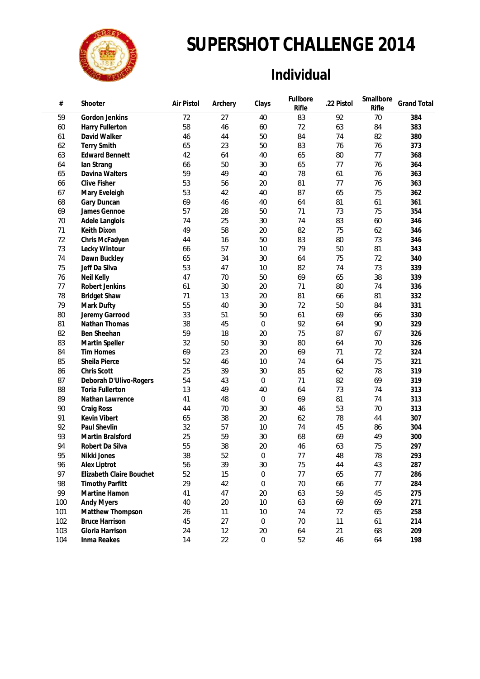

### **Individual**

| #   | Shooter                  | Air Pistol | Archery | Clays            | Fullbore<br>Rifle | .22 Pistol | Smallbore<br>Rifle | <b>Grand Total</b> |
|-----|--------------------------|------------|---------|------------------|-------------------|------------|--------------------|--------------------|
| 59  | Gordon Jenkins           | 72         | 27      | 40               | 83                | 92         | 70                 | 384                |
| 60  | Harry Fullerton          | 58         | 46      | 60               | 72                | 63         | 84                 | 383                |
| 61  | David Walker             | 46         | 44      | 50               | 84                | 74         | 82                 | 380                |
| 62  | <b>Terry Smith</b>       | 65         | 23      | 50               | 83                | 76         | 76                 | 373                |
| 63  | <b>Edward Bennett</b>    | 42         | 64      | 40               | 65                | 80         | 77                 | 368                |
| 64  | lan Strang               | 66         | 50      | 30               | 65                | 77         | 76                 | 364                |
| 65  | Davina Walters           | 59         | 49      | 40               | 78                | 61         | 76                 | 363                |
| 66  | <b>Clive Fisher</b>      | 53         | 56      | 20               | 81                | 77         | 76                 | 363                |
| 67  | Mary Eveleigh            | 53         | 42      | 40               | 87                | 65         | 75                 | 362                |
| 68  | Gary Duncan              | 69         | 46      | 40               | 64                | 81         | 61                 | 361                |
| 69  | James Gennoe             | 57         | 28      | 50               | 71                | 73         | 75                 | 354                |
| 70  | Adele Langlois           | 74         | 25      | 30               | 74                | 83         | 60                 | 346                |
| 71  | Keith Dixon              | 49         | 58      | 20               | 82                | 75         | 62                 | 346                |
| 72  | Chris McFadyen           | 44         | 16      | 50               | 83                | 80         | 73                 | 346                |
| 73  | Lecky Wintour            | 66         | 57      | 10               | 79                | 50         | 81                 | 343                |
| 74  | Dawn Buckley             | 65         | 34      | 30               | 64                | 75         | 72                 | 340                |
| 75  | Jeff Da Silva            | 53         | 47      | 10               | 82                | 74         | 73                 | 339                |
| 76  | Neil Kelly               | 47         | 70      | 50               | 69                | 65         | 38                 | 339                |
| 77  | Robert Jenkins           | 61         | 30      | 20               | 71                | 80         | 74                 | 336                |
| 78  | <b>Bridget Shaw</b>      | 71         | 13      | 20               | 81                | 66         | 81                 | 332                |
| 79  | Mark Dufty               | 55         | 40      | 30               | 72                | 50         | 84                 | 331                |
| 80  | Jeremy Garrood           | 33         | 51      | 50               | 61                | 69         | 66                 | 330                |
| 81  | Nathan Thomas            | 38         | 45      | $\overline{0}$   | 92                | 64         | 90                 | 329                |
| 82  | Ben Sheehan              | 59         | 18      | 20               | 75                | 87         | 67                 | 326                |
| 83  | Martin Speller           | 32         | 50      | 30               | 80                | 64         | 70                 | 326                |
| 84  | <b>Tim Homes</b>         | 69         | 23      | 20               | 69                | 71         | 72                 | 324                |
| 85  | Sheila Pierce            | 52         | 46      | 10               | 74                | 64         | 75                 | 321                |
| 86  | Chris Scott              | 25         | 39      | 30               | 85                | 62         | 78                 | 319                |
| 87  | Deborah D'Ulivo-Rogers   | 54         | 43      | 0                | 71                | 82         | 69                 | 319                |
| 88  | <b>Toria Fullerton</b>   | 13         | 49      | 40               | 64                | 73         | 74                 | 313                |
| 89  | Nathan Lawrence          | 41         | 48      | 0                | 69                | 81         | 74                 | 313                |
| 90  | Craig Ross               | 44         | 70      | 30               | 46                | 53         | 70                 | 313                |
| 91  | Kevin Vibert             | 65         | 38      | 20               | 62                | 78         | 44                 | 307                |
| 92  | Paul Shevlin             | 32         | 57      | 10               | 74                | 45         | 86                 | 304                |
| 93  | Martin Bralsford         | 25         | 59      | 30               | 68                | 69         | 49                 | 300                |
| 94  | Robert Da Silva          | 55         | 38      | 20               | 46                | 63         | 75                 | 297                |
| 95  | Nikki Jones              | 38         | 52      | 0                | 77                | 48         | 78                 | 293                |
| 96  | Alex Liptrot             | 56         | 39      | 30               | 75                | 44         | 43                 | 287                |
| 97  | Elizabeth Claire Bouchet | 52         | 15      | 0                | 77                | 65         | 77                 | 286                |
| 98  | <b>Timothy Parfitt</b>   | 29         | 42      | 0                | $70\,$            | 66         | 77                 | 284                |
| 99  | Martine Hamon            | 41         | 47      | 20               | 63                | 59         | 45                 | 275                |
| 100 | <b>Andy Myers</b>        | 40         | 20      | $10$             | 63                | 69         | 69                 | 271                |
| 101 | Matthew Thompson         | 26         | 11      | 10               | 74                | 72         | 65                 | 258                |
| 102 | <b>Bruce Harrison</b>    | 45         | 27      | $\boldsymbol{0}$ | $70\,$            | 11         | 61                 | 214                |
| 103 | Gloria Harrison          | 24         | 12      | 20               | 64                | 21         | 68                 | 209                |
| 104 | Inma Reakes              | 14         | 22      | $\boldsymbol{0}$ | 52                | 46         | 64                 | 198                |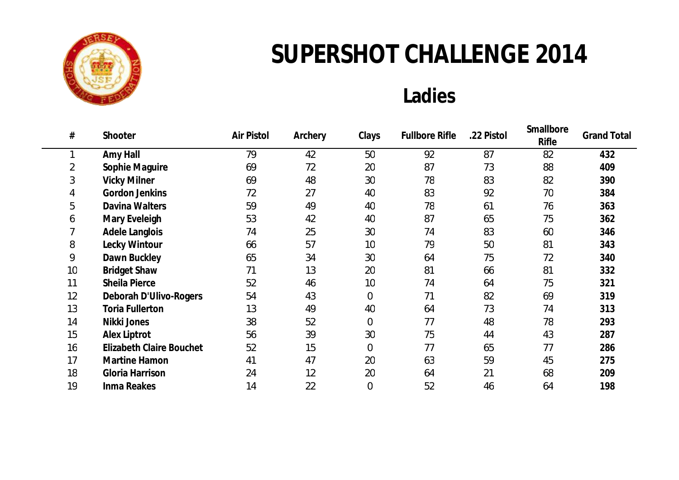

## **Ladies**

| #              | Shooter                         | Air Pistol | Archery | Clays          | <b>Fullbore Rifle</b> | .22 Pistol | Smallbore<br><b>Rifle</b> | <b>Grand Total</b> |
|----------------|---------------------------------|------------|---------|----------------|-----------------------|------------|---------------------------|--------------------|
|                | Amy Hall                        | 79         | 42      | 50             | 92                    | 87         | 82                        | 432                |
| $\overline{2}$ | Sophie Maguire                  | 69         | 72      | 20             | 87                    | 73         | 88                        | 409                |
| 3              | <b>Vicky Milner</b>             | 69         | 48      | 30             | 78                    | 83         | 82                        | 390                |
| 4              | Gordon Jenkins                  | 72         | 27      | 40             | 83                    | 92         | 70                        | 384                |
| 5              | Davina Walters                  | 59         | 49      | 40             | 78                    | 61         | 76                        | 363                |
| 6              | Mary Eveleigh                   | 53         | 42      | 40             | 87                    | 65         | 75                        | 362                |
|                | Adele Langlois                  | 74         | 25      | 30             | 74                    | 83         | 60                        | 346                |
| 8              | Lecky Wintour                   | 66         | 57      | 10             | 79                    | 50         | 81                        | 343                |
| 9              | Dawn Buckley                    | 65         | 34      | 30             | 64                    | 75         | 72                        | 340                |
| 10             | <b>Bridget Shaw</b>             | 71         | 13      | 20             | 81                    | 66         | 81                        | 332                |
| 11             | Sheila Pierce                   | 52         | 46      | 10             | 74                    | 64         | 75                        | 321                |
| 12             | Deborah D'Ulivo-Rogers          | 54         | 43      | $\mathbf 0$    | 71                    | 82         | 69                        | 319                |
| 13             | <b>Toria Fullerton</b>          | 13         | 49      | 40             | 64                    | 73         | 74                        | 313                |
| 14             | Nikki Jones                     | 38         | 52      | $\overline{0}$ | 77                    | 48         | 78                        | 293                |
| 15             | Alex Liptrot                    | 56         | 39      | 30             | 75                    | 44         | 43                        | 287                |
| 16             | <b>Elizabeth Claire Bouchet</b> | 52         | 15      | $\mathbf 0$    | 77                    | 65         | 77                        | 286                |
| 17             | Martine Hamon                   | 41         | 47      | 20             | 63                    | 59         | 45                        | 275                |
| 18             | Gloria Harrison                 | 24         | 12      | 20             | 64                    | 21         | 68                        | 209                |
| 19             | Inma Reakes                     | 14         | 22      | $\mathbf 0$    | 52                    | 46         | 64                        | 198                |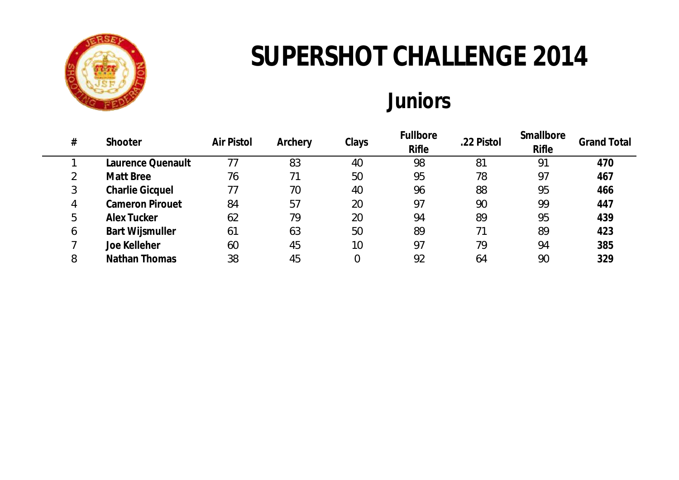

# **Juniors**

| # | Shooter                | Air Pistol | Archery | Clays | Fullbore<br><b>Rifle</b> | .22 Pistol | Smallbore<br><b>Rifle</b> | <b>Grand Total</b> |
|---|------------------------|------------|---------|-------|--------------------------|------------|---------------------------|--------------------|
|   | Laurence Quenault      |            | 83      | 40    | 98                       | 81         | 91                        | 470                |
| 2 | Matt Bree              | 76         |         | 50    | 95                       | 78         | 97                        | 467                |
| 3 | <b>Charlie Gicquel</b> | 77         | 70      | 40    | 96                       | 88         | 95                        | 466                |
| 4 | <b>Cameron Pirouet</b> | 84         | 57      | 20    | 97                       | 90         | 99                        | 447                |
| 5 | Alex Tucker            | 62         | 79      | 20    | 94                       | 89         | 95                        | 439                |
| 6 | <b>Bart Wijsmuller</b> | 61         | 63      | 50    | 89                       |            | 89                        | 423                |
|   | Joe Kelleher           | 60         | 45      | 10    | 97                       | 79         | 94                        | 385                |
| 8 | Nathan Thomas          | 38         | 45      |       | 92                       | 64         | 90                        | 329                |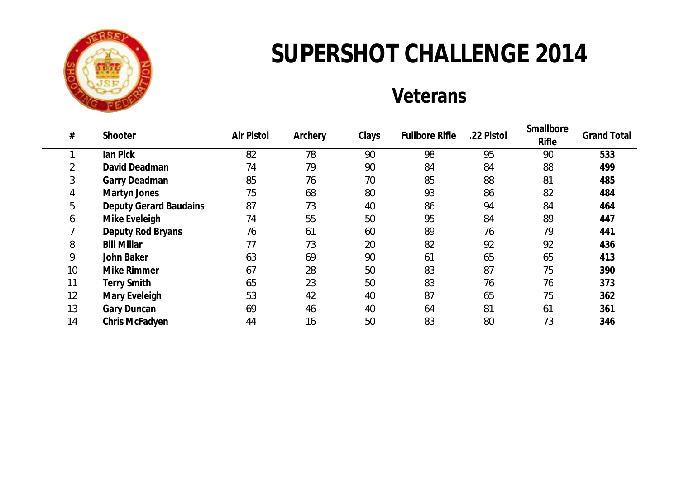

## **Veterans**

| #  | Shooter                       | Air Pistol | Archery | Clays | <b>Fullbore Rifle</b> | .22 Pistol | Smallbore<br>Rifle | <b>Grand Total</b> |
|----|-------------------------------|------------|---------|-------|-----------------------|------------|--------------------|--------------------|
|    | lan Pick                      | 82         | 78      | 90    | 98                    | 95         | 90                 | 533                |
|    | David Deadman                 | 74         | 79      | 90    | 84                    | 84         | 88                 | 499                |
| 3  | Garry Deadman                 | 85         | 76      | 70    | 85                    | 88         | 81                 | 485                |
| 4  | Martyn Jones                  | 75         | 68      | 80    | 93                    | 86         | 82                 | 484                |
| 5  | <b>Deputy Gerard Baudains</b> | 87         | 73      | 40    | 86                    | 94         | 84                 | 464                |
| 6  | Mike Eveleigh                 | 74         | 55      | 50    | 95                    | 84         | 89                 | 447                |
|    | Deputy Rod Bryans             | 76         | 61      | 60    | 89                    | 76         | 79                 | 441                |
| 8  | <b>Bill Millar</b>            | 77         | 73      | 20    | 82                    | 92         | 92                 | 436                |
| 9  | John Baker                    | 63         | 69      | 90    | 61                    | 65         | 65                 | 413                |
| 10 | Mike Rimmer                   | 67         | 28      | 50    | 83                    | 87         | 75                 | 390                |
| 11 | <b>Terry Smith</b>            | 65         | 23      | 50    | 83                    | 76         | 76                 | 373                |
| 12 | Mary Eveleigh                 | 53         | 42      | 40    | 87                    | 65         | 75                 | 362                |
| 13 | Gary Duncan                   | 69         | 46      | 40    | 64                    | 81         | 61                 | 361                |
| 14 | Chris McFadyen                | 44         | 16      | 50    | 83                    | 80         | 73                 | 346                |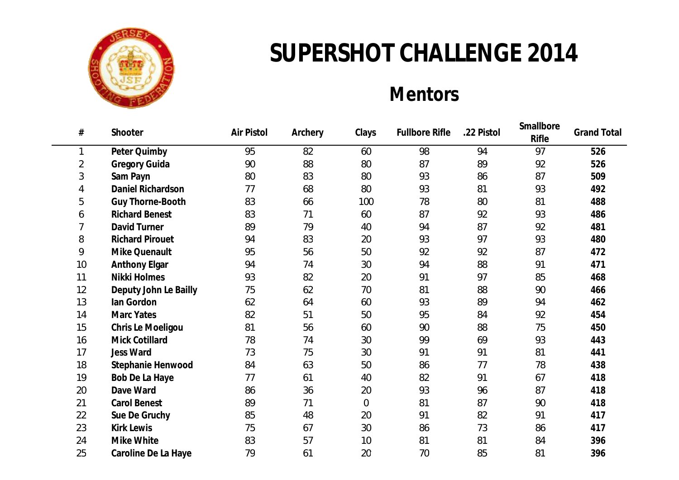

## **Mentors**

| #  | Shooter                | Air Pistol | Archery | Clays          | <b>Fullbore Rifle</b> | .22 Pistol | Smallbore<br>Rifle | <b>Grand Total</b> |
|----|------------------------|------------|---------|----------------|-----------------------|------------|--------------------|--------------------|
| 1  | Peter Quimby           | 95         | 82      | 60             | 98                    | 94         | 97                 | 526                |
| 2  | Gregory Guida          | 90         | 88      | 80             | 87                    | 89         | 92                 | 526                |
| 3  | Sam Payn               | 80         | 83      | 80             | 93                    | 86         | 87                 | 509                |
| 4  | Daniel Richardson      | 77         | 68      | 80             | 93                    | 81         | 93                 | 492                |
| 5  | Guy Thorne-Booth       | 83         | 66      | 100            | 78                    | 80         | 81                 | 488                |
| 6  | <b>Richard Benest</b>  | 83         | 71      | 60             | 87                    | 92         | 93                 | 486                |
| 7  | David Turner           | 89         | 79      | 40             | 94                    | 87         | 92                 | 481                |
| 8  | <b>Richard Pirouet</b> | 94         | 83      | 20             | 93                    | 97         | 93                 | 480                |
| 9  | Mike Quenault          | 95         | 56      | 50             | 92                    | 92         | 87                 | 472                |
| 10 | Anthony Elgar          | 94         | 74      | 30             | 94                    | 88         | 91                 | 471                |
| 11 | Nikki Holmes           | 93         | 82      | 20             | 91                    | 97         | 85                 | 468                |
| 12 | Deputy John Le Bailly  | 75         | 62      | 70             | 81                    | 88         | 90                 | 466                |
| 13 | lan Gordon             | 62         | 64      | 60             | 93                    | 89         | 94                 | 462                |
| 14 | <b>Marc Yates</b>      | 82         | 51      | 50             | 95                    | 84         | 92                 | 454                |
| 15 | Chris Le Moeligou      | 81         | 56      | 60             | 90                    | 88         | 75                 | 450                |
| 16 | Mick Cotillard         | 78         | 74      | 30             | 99                    | 69         | 93                 | 443                |
| 17 | Jess Ward              | 73         | 75      | 30             | 91                    | 91         | 81                 | 441                |
| 18 | Stephanie Henwood      | 84         | 63      | 50             | 86                    | 77         | 78                 | 438                |
| 19 | Bob De La Haye         | 77         | 61      | 40             | 82                    | 91         | 67                 | 418                |
| 20 | Dave Ward              | 86         | 36      | 20             | 93                    | 96         | 87                 | 418                |
| 21 | <b>Carol Benest</b>    | 89         | 71      | $\overline{0}$ | 81                    | 87         | 90                 | 418                |
| 22 | Sue De Gruchy          | 85         | 48      | 20             | 91                    | 82         | 91                 | 417                |
| 23 | <b>Kirk Lewis</b>      | 75         | 67      | 30             | 86                    | 73         | 86                 | 417                |
| 24 | Mike White             | 83         | 57      | 10             | 81                    | 81         | 84                 | 396                |
| 25 | Caroline De La Haye    | 79         | 61      | 20             | 70                    | 85         | 81                 | 396                |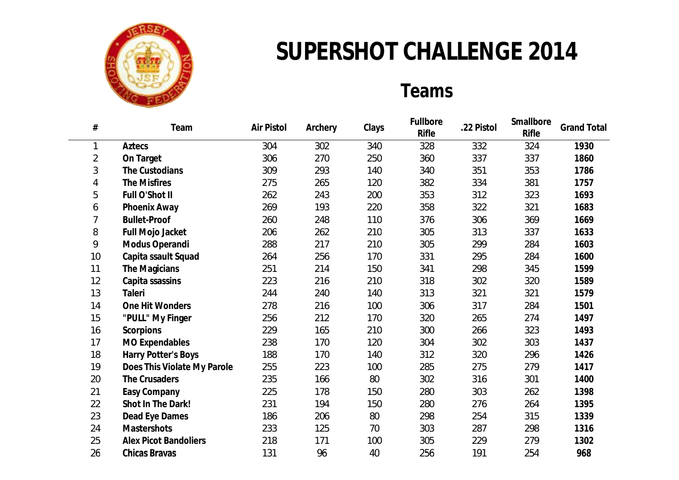

### **Teams**

| $\#$           | Team                         | Air Pistol | Archery | Clays | Fullbore<br>Rifle | .22 Pistol | Smallbore<br>Rifle | <b>Grand Total</b> |
|----------------|------------------------------|------------|---------|-------|-------------------|------------|--------------------|--------------------|
| $\mathbf{1}$   | Aztecs                       | 304        | 302     | 340   | 328               | 332        | 324                | 1930               |
| $\overline{2}$ | On Target                    | 306        | 270     | 250   | 360               | 337        | 337                | 1860               |
| 3              | The Custodians               | 309        | 293     | 140   | 340               | 351        | 353                | 1786               |
| 4              | The Misfires                 | 275        | 265     | 120   | 382               | 334        | 381                | 1757               |
| 5              | Full O'Shot II               | 262        | 243     | 200   | 353               | 312        | 323                | 1693               |
| 6              | Phoenix Away                 | 269        | 193     | 220   | 358               | 322        | 321                | 1683               |
| 7              | <b>Bullet-Proof</b>          | 260        | 248     | 110   | 376               | 306        | 369                | 1669               |
| 8              | Full Mojo Jacket             | 206        | 262     | 210   | 305               | 313        | 337                | 1633               |
| 9              | Modus Operandi               | 288        | 217     | 210   | 305               | 299        | 284                | 1603               |
| 10             | Capita ssault Squad          | 264        | 256     | 170   | 331               | 295        | 284                | 1600               |
| 11             | The Magicians                | 251        | 214     | 150   | 341               | 298        | 345                | 1599               |
| 12             | Capita ssassins              | 223        | 216     | 210   | 318               | 302        | 320                | 1589               |
| 13             | Taleri                       | 244        | 240     | 140   | 313               | 321        | 321                | 1579               |
| 14             | One Hit Wonders              | 278        | 216     | 100   | 306               | 317        | 284                | 1501               |
| 15             | "PULL" My Finger             | 256        | 212     | 170   | 320               | 265        | 274                | 1497               |
| 16             | Scorpions                    | 229        | 165     | 210   | 300               | 266        | 323                | 1493               |
| 17             | <b>MO Expendables</b>        | 238        | 170     | 120   | 304               | 302        | 303                | 1437               |
| 18             | Harry Potter's Boys          | 188        | 170     | 140   | 312               | 320        | 296                | 1426               |
| 19             | Does This Violate My Parole  | 255        | 223     | 100   | 285               | 275        | 279                | 1417               |
| 20             | The Crusaders                | 235        | 166     | 80    | 302               | 316        | 301                | 1400               |
| 21             | Easy Company                 | 225        | 178     | 150   | 280               | 303        | 262                | 1398               |
| 22             | Shot In The Dark!            | 231        | 194     | 150   | 280               | 276        | 264                | 1395               |
| 23             | Dead Eye Dames               | 186        | 206     | 80    | 298               | 254        | 315                | 1339               |
| 24             | Mastershots                  | 233        | 125     | 70    | 303               | 287        | 298                | 1316               |
| 25             | <b>Alex Picot Bandoliers</b> | 218        | 171     | 100   | 305               | 229        | 279                | 1302               |
| 26             | Chicas Bravas                | 131        | 96      | 40    | 256               | 191        | 254                | 968                |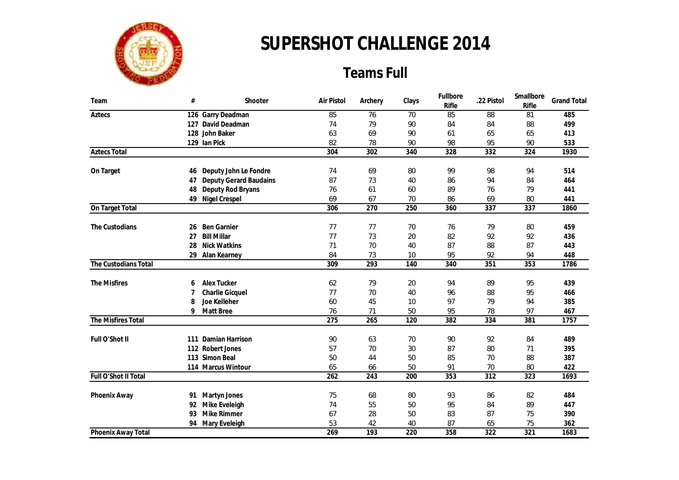

### **Teams Full**

| Team                 | $\#$     | Shooter                | Air Pistol | Archery   | Clays    | Fullbore<br>Rifle | .22 Pistol             | Smallbore<br>Rifle | <b>Grand Total</b> |
|----------------------|----------|------------------------|------------|-----------|----------|-------------------|------------------------|--------------------|--------------------|
| Aztecs               |          | 126 Garry Deadman      | 85         | 76        | 70       | 85                | 88                     | 81                 | 485                |
|                      | 127      | David Deadman          | 74         | 79        | 90       | 84                | 84                     | 88                 | 499                |
|                      |          | 128 John Baker         | 63         | 69        | 90       | 61                | 65                     | 65                 | 413                |
|                      |          | 129 Ian Pick           | 82         | 78        | 90       | 98                | 95                     | 90                 | 533                |
| <b>Aztecs Total</b>  |          |                        | 304        | 302       | 340      | 328               | 332                    | 324                | 1930               |
| On Target            | 46       | Deputy John Le Fondre  | 74         | 69        | 80       | 99                | 98                     | 94                 | 514                |
|                      | 47       | Deputy Gerard Baudains | 87         | 73        | 40       | 86                | 94                     | 84                 | 464                |
|                      | 48       | Deputy Rod Bryans      | 76         | 61        | 60       | 89                | 76                     | 79                 | 441                |
|                      | 49       | Nigel Crespel          | 69         | 67        | 70       | 86                | 69                     | 80                 | 441                |
| On Target Total      |          |                        | 306        | 270       | 250      | 360               | 337                    | 337                | 1860               |
|                      |          |                        |            |           |          |                   |                        |                    |                    |
| The Custodians       | 26       | <b>Ben Garnier</b>     | 77         | 77        | 70       | 76                | 79                     | 80                 | 459                |
|                      | 27       | <b>Bill Millar</b>     | 77         | 73        | 20       | 82                | 92                     | 92                 | 436                |
|                      | 28<br>29 | <b>Nick Watkins</b>    | 71<br>84   | 70<br>73  | 40<br>10 | 87<br>95          | 88<br>92               | 87<br>94           | 443<br>448         |
| The Custodians Total |          | Alan Kearney           | 309        | 293       | 140      | 340               | 351                    | 353                | 1786               |
|                      |          |                        |            |           |          |                   |                        |                    |                    |
| The Misfires         | 6        | Alex Tucker            | 62         | 79        | 20       | 94                | 89                     | 95                 | 439                |
|                      | 7        | Charlie Gicquel        | 77         | 70        | 40       | 96                | 88                     | 95                 | 466                |
|                      | 8        | Joe Kelleher           | 60         | 45        | 10       | 97                | 79                     | 94                 | 385                |
|                      | 9        | Matt Bree              | 76         | 71        | 50       | 95                | 78                     | 97                 | 467                |
| The Misfires Total   |          |                        | 275        | 265       | 120      | 382               | 334                    | 381                | 1757               |
| Full O'Shot II       | 111      | Damian Harrison        | 90         | 63        | 70       | 90                | 92                     | 84                 | 489                |
|                      |          | 112 Robert Jones       | 57         | 70        | 30       | 87                | 80                     | 71                 | 395                |
|                      |          | 113 Simon Beal         | 50         | 44        | 50       | 85                | 70                     | 88                 | 387                |
|                      |          | 114 Marcus Wintour     | 65         | 66        | 50       | 91                | 70                     | 80                 | 422                |
| Full O'Shot II Total |          |                        | 262        | 243       | 200      | 353               | 312                    | 323                | 1693               |
|                      |          |                        |            |           |          |                   |                        |                    |                    |
| Phoenix Away         | 91       | Martyn Jones           | 75         | 68        | 80       | 93                | 86                     | 82                 | 484                |
|                      | 92       | Mike Eveleigh          | 74         | 55        | 50       | 95                | 84                     | 89                 | 447                |
|                      | 93       | Mike Rimmer            | 67         | 28        | 50       | 83                | 87                     | 75                 | 390                |
|                      | 94       | Mary Eveleigh          | 53<br>269  | 42<br>193 | 40       | 87<br>358         | 65<br>$\overline{322}$ | 75                 | 362                |
| Phoenix Away Total   |          |                        |            |           | 220      |                   |                        | 321                | 1683               |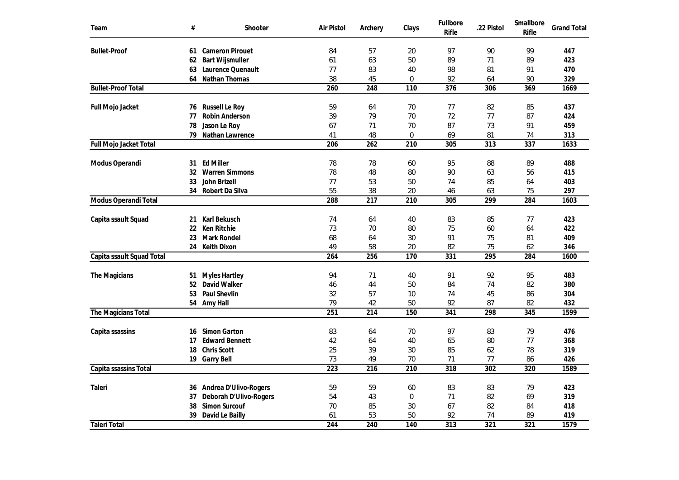| Team                      | $\#$ | Shooter                              | Air Pistol       | Archery          | Clays        | Fullbore<br>Rifle | .22 Pistol | Smallbore<br>Rifle | <b>Grand Total</b> |
|---------------------------|------|--------------------------------------|------------------|------------------|--------------|-------------------|------------|--------------------|--------------------|
| <b>Bullet-Proof</b>       | 61   | <b>Cameron Pirouet</b>               | 84               | 57               | 20           | 97                | 90         | 99                 | 447                |
|                           | 62   | <b>Bart Wijsmuller</b>               | 61               | 63               | 50           | 89                | 71         | 89                 | 423                |
|                           | 63   | Laurence Quenault                    | 77               | 83               | 40           | 98                | 81         | 91                 | 470                |
|                           | 64   | Nathan Thomas                        | 38               | 45               | 0            | 92                | 64         | 90                 | 329                |
| <b>Bullet-Proof Total</b> |      |                                      | 260              | 248              | 110          | 376               | 306        | 369                | 1669               |
| Full Mojo Jacket          | 76   | Russell Le Roy                       | 59               | 64               | 70           | 77                | 82         | 85                 | 437                |
|                           | 77   | Robin Anderson                       | 39               | 79               | 70           | 72                | 77         | 87                 | 424                |
|                           | 78   | Jason Le Roy                         | 67               | 71               | 70           | 87                | 73         | 91                 | 459                |
|                           | 79   | Nathan Lawrence                      | 41               | 48               | $\mathbf{0}$ | 69                | 81         | 74                 | 313                |
| Full Mojo Jacket Total    |      |                                      | 206              | 262              | 210          | 305               | 313        | 337                | 1633               |
| Modus Operandi            | 31   | <b>Ed Miller</b>                     | 78               | 78               | 60           | 95                | 88         | 89                 | 488                |
|                           | 32   | <b>Warren Simmons</b>                | 78               | 48               | 80           | 90                | 63         | 56                 | 415                |
|                           | 33   | John Brizell                         | 77               | 53               | 50           | 74                | 85         | 64                 | 403                |
|                           | 34   | Robert Da Silva                      | 55               | 38               | 20           | 46                | 63         | 75                 | 297                |
| Modus Operandi Total      |      |                                      | 288              | $\overline{217}$ | 210          | 305               | 299        | 284                | 1603               |
|                           |      |                                      |                  |                  |              |                   |            |                    |                    |
| Capita ssault Squad       | 21   | Karl Bekusch                         | 74               | 64               | 40           | 83                | 85         | 77                 | 423                |
|                           | 22   | Ken Ritchie                          | 73               | 70               | 80           | 75                | 60         | 64                 | 422                |
|                           | 23   | Mark Rondel                          | 68               | 64               | 30           | 91                | 75         | 81                 | 409                |
|                           |      | 24 Keith Dixon                       | 49               | 58               | 20           | 82                | 75         | 62                 | 346                |
| Capita ssault Squad Total |      |                                      | 264              | 256              | 170          | 331               | 295        | 284                | 1600               |
| The Magicians             | 51   | <b>Myles Hartley</b>                 | 94               | 71               | 40           | 91                | 92         | 95                 | 483                |
|                           | 52   | David Walker                         | 46               | 44               | 50           | 84                | 74         | 82                 | 380                |
|                           | 53   | Paul Shevlin                         | 32               | 57               | 10           | 74                | 45         | 86                 | 304                |
|                           |      | 54 Amy Hall                          | 79               | 42               | 50           | 92                | 87         | 82                 | 432                |
| The Magicians Total       |      |                                      | 251              | 214              | 150          | 341               | 298        | 345                | 1599               |
|                           |      |                                      |                  |                  |              |                   |            |                    |                    |
| Capita ssassins           | 16   | Simon Garton                         | 83               | 64               | 70           | 97                | 83         | 79                 | 476                |
|                           | 17   | <b>Edward Bennett</b><br>Chris Scott | 42               | 64               | 40           | 65                | 80         | 77<br>78           | 368<br>319         |
|                           | 18   |                                      | 25<br>73         | 39               | 30           | 85                | 62         |                    |                    |
|                           | 19   | <b>Garry Bell</b>                    | $\overline{223}$ | 49<br>216        | 70<br>210    | 71<br>318         | 77<br>302  | 86<br>320          | 426<br>1589        |
| Capita ssassins Total     |      |                                      |                  |                  |              |                   |            |                    |                    |
| Taleri                    | 36   | Andrea D'Ulivo-Rogers                | 59               | 59               | 60           | 83                | 83         | 79                 | 423                |
|                           | 37   | Deborah D'Ulivo-Rogers               | 54               | 43               | 0            | 71                | 82         | 69                 | 319                |
|                           | 38   | Simon Surcouf                        | 70               | 85               | 30           | 67                | 82         | 84                 | 418                |
|                           | 39   | David Le Bailly                      | 61               | 53               | 50           | 92                | 74         | 89                 | 419                |
| <b>Taleri Total</b>       |      |                                      | 244              | 240              | 140          | 313               | 321        | 321                | 1579               |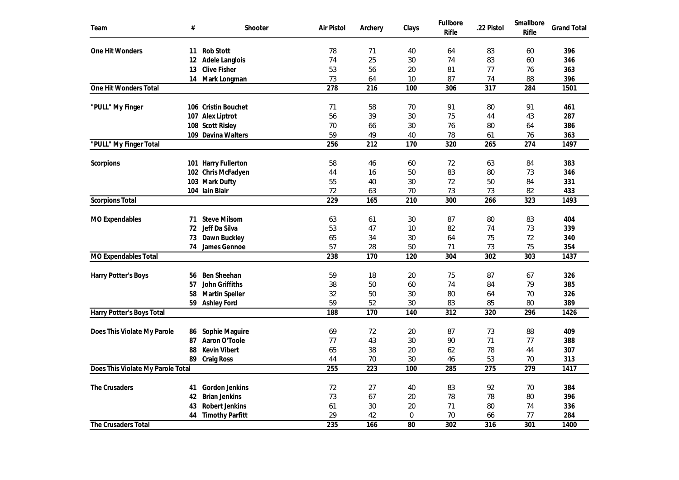| Team                              | #  | Shooter                | Air Pistol       | Archery          | Clays | Fullbore<br>Rifle | .22 Pistol       | Smallbore<br>Rifle | <b>Grand Total</b> |
|-----------------------------------|----|------------------------|------------------|------------------|-------|-------------------|------------------|--------------------|--------------------|
| One Hit Wonders                   | 11 | <b>Rob Stott</b>       | 78               | 71               | 40    | 64                | 83               | 60                 | 396                |
|                                   | 12 | Adele Langlois         | 74               | 25               | 30    | 74                | 83               | 60                 | 346                |
|                                   | 13 | <b>Clive Fisher</b>    | 53               | 56               | 20    | 81                | 77               | 76                 | 363                |
|                                   | 14 | Mark Longman           | 73               | 64               | 10    | 87                | 74               | 88                 | 396                |
| One Hit Wonders Total             |    |                        | $\overline{278}$ | 216              | 100   | 306               | $\overline{317}$ | 284                | 1501               |
| "PULL" My Finger                  |    | 106 Cristin Bouchet    | 71               | 58               | 70    | 91                | 80               | 91                 | 461                |
|                                   |    | 107 Alex Liptrot       | 56               | 39               | 30    | 75                | 44               | 43                 | 287                |
|                                   |    | 108 Scott Risley       | 70               | 66               | 30    | 76                | 80               | 64                 | 386                |
|                                   |    | 109 Davina Walters     | 59               | 49               | 40    | 78                | 61               | 76                 | 363                |
| "PULL" My Finger Total            |    |                        | 256              | $\overline{212}$ | 170   | 320               | $\overline{265}$ | $\overline{274}$   | 1497               |
| Scorpions                         |    | 101 Harry Fullerton    | 58               | 46               | 60    | 72                | 63               | 84                 | 383                |
|                                   |    | 102 Chris McFadyen     | 44               | 16               | 50    | 83                | 80               | 73                 | 346                |
|                                   |    | 103 Mark Dufty         | 55               | 40               | 30    | 72                | 50               | 84                 | 331                |
|                                   |    | 104 Iain Blair         | 72               | 63               | 70    | 73                | 73               | 82                 | 433                |
| <b>Scorpions Total</b>            |    |                        | 229              | 165              | 210   | 300               | 266              | $\overline{323}$   | 1493               |
|                                   |    |                        |                  |                  |       |                   |                  |                    |                    |
| MO Expendables                    | 71 | <b>Steve Milsom</b>    | 63               | 61               | 30    | 87                | 80               | 83                 | 404                |
|                                   | 72 | Jeff Da Silva          | 53               | 47               | 10    | 82                | 74               | 73                 | 339                |
|                                   | 73 | Dawn Buckley           | 65               | 34               | 30    | 64                | 75               | 72                 | 340                |
|                                   | 74 | James Gennoe           | 57               | 28               | 50    | 71                | 73               | 75                 | 354                |
| MO Expendables Total              |    |                        | 238              | 170              | 120   | 304               | 302              | $\overline{303}$   | 1437               |
| Harry Potter's Boys               | 56 | Ben Sheehan            | 59               | 18               | 20    | 75                | 87               | 67                 | 326                |
|                                   | 57 | John Griffiths         | 38               | 50               | 60    | 74                | 84               | 79                 | 385                |
|                                   | 58 | Martin Speller         | 32               | 50               | 30    | 80                | 64               | 70                 | 326                |
|                                   | 59 | <b>Ashley Ford</b>     | 59               | 52               | 30    | 83                | 85               | 80                 | 389                |
| Harry Potter's Boys Total         |    |                        | 188              | 170              | 140   | $\overline{312}$  | 320              | 296                | 1426               |
|                                   |    |                        |                  |                  |       |                   |                  |                    |                    |
| Does This Violate My Parole       | 86 | Sophie Maguire         | 69               | 72               | 20    | 87                | 73               | 88                 | 409                |
|                                   | 87 | Aaron O'Toole          | 77               | 43               | 30    | 90                | 71               | 77                 | 388                |
|                                   | 88 | <b>Kevin Vibert</b>    | 65               | 38               | 20    | 62                | 78               | 44                 | 307                |
|                                   | 89 | Craig Ross             | 44<br>255        | 70<br>223        | 30    | 46                | 53<br>275        | 70                 | 313<br>1417        |
| Does This Violate My Parole Total |    |                        |                  |                  | 100   | 285               |                  | 279                |                    |
| The Crusaders                     | 41 | Gordon Jenkins         | 72               | 27               | 40    | 83                | 92               | 70                 | 384                |
|                                   | 42 | <b>Brian Jenkins</b>   | 73               | 67               | 20    | 78                | 78               | 80                 | 396                |
|                                   | 43 | Robert Jenkins         | 61               | 30               | 20    | 71                | 80               | 74                 | 336                |
|                                   | 44 | <b>Timothy Parfitt</b> | 29               | 42               | 0     | 70                | 66               | 77                 | 284                |
| The Crusaders Total               |    |                        | 235              | 166              | 80    | 302               | 316              | 301                | 1400               |